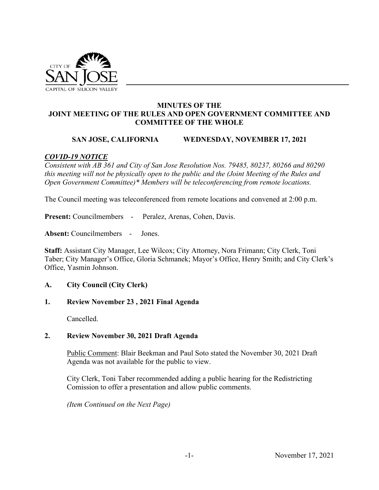

## **MINUTES OF THE JOINT MEETING OF THE RULES AND OPEN GOVERNMENT COMMITTEE AND COMMITTEE OF THE WHOLE**

### **SAN JOSE, CALIFORNIA WEDNESDAY, NOVEMBER 17, 2021**

### *COVID-19 NOTICE*

*Consistent with AB 361 and City of San Jose Resolution Nos. 79485, 80237, 80266 and 80290 this meeting will not be physically open to the public and the (Joint Meeting of the Rules and Open Government Committee)\* Members will be teleconferencing from remote locations.* 

The Council meeting was teleconferenced from remote locations and convened at 2:00 p.m.

**Present:** Councilmembers - Peralez, Arenas, Cohen, Davis.

**Absent:** Councilmembers - Jones.

**Staff:** Assistant City Manager, Lee Wilcox; City Attorney, Nora Frimann; City Clerk, Toni Taber; City Manager's Office, Gloria Schmanek; Mayor's Office, Henry Smith; and City Clerk's Office, Yasmin Johnson.

#### **A. City Council (City Clerk)**

#### **1. Review November 23 , 2021 Final Agenda**

Cancelled.

#### **2. Review November 30, 2021 Draft Agenda**

Public Comment: Blair Beekman and Paul Soto stated the November 30, 2021 Draft Agenda was not available for the public to view.

City Clerk, Toni Taber recommended adding a public hearing for the Redistricting Comission to offer a presentation and allow public comments.

*(Item Continued on the Next Page)*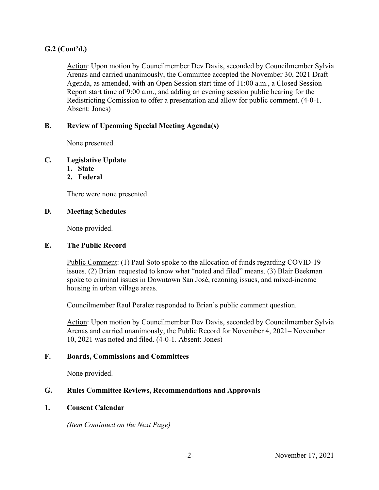# **G.2 (Cont'd.)**

Action: Upon motion by Councilmember Dev Davis, seconded by Councilmember Sylvia Arenas and carried unanimously, the Committee accepted the November 30, 2021 Draft Agenda, as amended, with an Open Session start time of 11:00 a.m., a Closed Session Report start time of 9:00 a.m., and adding an evening session public hearing for the Redistricting Comission to offer a presentation and allow for public comment. (4-0-1. Absent: Jones)

## **B. Review of Upcoming Special Meeting Agenda(s)**

None presented.

## **C. Legislative Update**

- **1. State**
- **2. Federal**

There were none presented.

### **D. Meeting Schedules**

None provided.

## **E. The Public Record**

Public Comment: (1) Paul Soto spoke to the allocation of funds regarding COVID-19 issues. (2) Brian requested to know what "noted and filed" means. (3) Blair Beekman spoke to criminal issues in Downtown San José, rezoning issues, and mixed-income housing in urban village areas.

Councilmember Raul Peralez responded to Brian's public comment question.

Action: Upon motion by Councilmember Dev Davis, seconded by Councilmember Sylvia Arenas and carried unanimously, the Public Record for November 4, 2021– November 10, 2021 was noted and filed. (4-0-1. Absent: Jones)

## **F. Boards, Commissions and Committees**

None provided.

## **G. Rules Committee Reviews, Recommendations and Approvals**

#### **1. Consent Calendar**

 *(Item Continued on the Next Page)*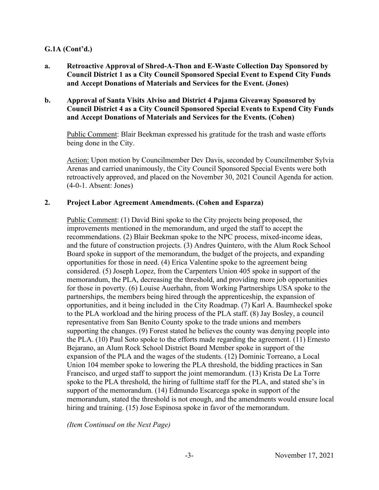## **G.1A (Cont'd.)**

- **a. Retroactive Approval of Shred-A-Thon and E-Waste Collection Day Sponsored by Council District 1 as a City Council Sponsored Special Event to Expend City Funds and Accept Donations of Materials and Services for the Event. (Jones)**
- **b. Approval of Santa Visits Alviso and District 4 Pajama Giveaway Sponsored by Council District 4 as a City Council Sponsored Special Events to Expend City Funds and Accept Donations of Materials and Services for the Events. (Cohen)**

Public Comment: Blair Beekman expressed his gratitude for the trash and waste efforts being done in the City.

Action: Upon motion by Councilmember Dev Davis, seconded by Councilmember Sylvia Arenas and carried unanimously, the City Council Sponsored Special Events were both retroactively approved, and placed on the November 30, 2021 Council Agenda for action. (4-0-1. Absent: Jones)

#### **2. Project Labor Agreement Amendments. (Cohen and Esparza)**

Public Comment: (1) David Bini spoke to the City projects being proposed, the improvements mentioned in the memorandum, and urged the staff to accept the recommendations. (2) Blair Beekman spoke to the NPC process, mixed-income ideas, and the future of construction projects. (3) Andres Quintero, with the Alum Rock School Board spoke in support of the memorandum, the budget of the projects, and expanding opportunities for those in need. (4) Erica Valentine spoke to the agreement being considered. (5) Joseph Lopez, from the Carpenters Union 405 spoke in support of the memorandum, the PLA, decreasing the threshold, and providing more job opportunities for those in poverty. (6) Louise Auerhahn, from Working Partnerships USA spoke to the partnerships, the members being hired through the apprenticeship, the expansion of opportunities, and it being included in the City Roadmap. (7) Karl A. Baumheckel spoke to the PLA workload and the hiring process of the PLA staff. (8) Jay Bosley, a council representative from San Benito County spoke to the trade unions and members supporting the changes. (9) Forest stated he believes the county was denying people into the PLA. (10) Paul Soto spoke to the efforts made regarding the agreement. (11) Ernesto Bejarano, an Alum Rock School District Board Member spoke in support of the expansion of the PLA and the wages of the students. (12) Dominic Torreano, a Local Union 104 member spoke to lowering the PLA threshold, the bidding practices in San Francisco, and urged staff to support the joint memorandum. (13) Krista De La Torre spoke to the PLA threshold, the hiring of fulltime staff for the PLA, and stated she's in support of the memorandum. (14) Edmundo Escarcega spoke in support of the memorandum, stated the threshold is not enough, and the amendments would ensure local hiring and training. (15) Jose Espinosa spoke in favor of the memorandum.

*(Item Continued on the Next Page)*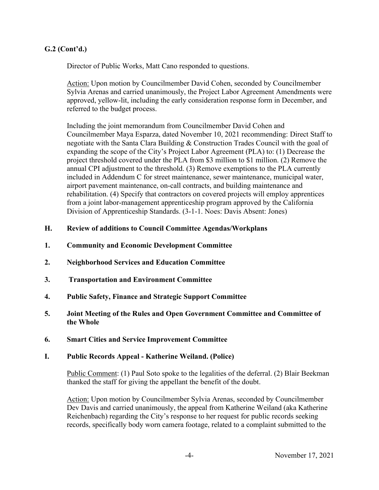# **G.2 (Cont'd.)**

Director of Public Works, Matt Cano responded to questions.

Action: Upon motion by Councilmember David Cohen, seconded by Councilmember Sylvia Arenas and carried unanimously, the Project Labor Agreement Amendments were approved, yellow-lit, including the early consideration response form in December, and referred to the budget process.

Including the joint memorandum from Councilmember David Cohen and Councilmember Maya Esparza, dated November 10, 2021 recommending: Direct Staff to negotiate with the Santa Clara Building & Construction Trades Council with the goal of expanding the scope of the City's Project Labor Agreement (PLA) to: (1) Decrease the project threshold covered under the PLA from \$3 million to \$1 million. (2) Remove the annual CPI adjustment to the threshold. (3) Remove exemptions to the PLA currently included in Addendum C for street maintenance, sewer maintenance, municipal water, airport pavement maintenance, on-call contracts, and building maintenance and rehabilitation. (4) Specify that contractors on covered projects will employ apprentices from a joint labor-management apprenticeship program approved by the California Division of Apprenticeship Standards. (3-1-1. Noes: Davis Absent: Jones)

### **H. Review of additions to Council Committee Agendas/Workplans**

- **1. Community and Economic Development Committee**
- **2. Neighborhood Services and Education Committee**
- **3. Transportation and Environment Committee**
- **4. Public Safety, Finance and Strategic Support Committee**
- **5. Joint Meeting of the Rules and Open Government Committee and Committee of the Whole**
- **6. Smart Cities and Service Improvement Committee**

#### **I. Public Records Appeal - Katherine Weiland. (Police)**

Public Comment: (1) Paul Soto spoke to the legalities of the deferral. (2) Blair Beekman thanked the staff for giving the appellant the benefit of the doubt.

Action: Upon motion by Councilmember Sylvia Arenas, seconded by Councilmember Dev Davis and carried unanimously, the appeal from Katherine Weiland (aka Katherine Reichenbach) regarding the City's response to her request for public records seeking records, specifically body worn camera footage, related to a complaint submitted to the